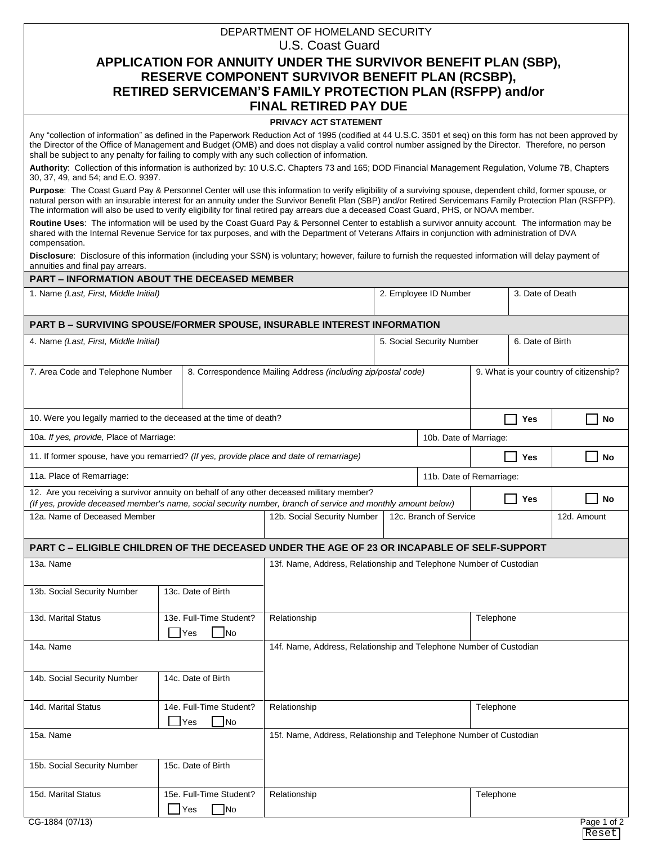## U.S. Coast Guard **APPLICATION FOR ANNUITY UNDER THE SURVIVOR BENEFIT PLAN (SBP), RESERVE COMPONENT SURVIVOR BENEFIT PLAN (RCSBP), RETIRED SERVICEMAN'S FAMILY PROTECTION PLAN (RSFPP) and/or FINAL RETIRED PAY DUE**

DEPARTMENT OF HOMELAND SECURITY

## **PRIVACY ACT STATEMENT**

Any "collection of information" as defined in the Paperwork Reduction Act of 1995 (codified at 44 U.S.C. 3501 et seq) on this form has not been approved by the Director of the Office of Management and Budget (OMB) and does not display a valid control number assigned by the Director. Therefore, no person shall be subject to any penalty for failing to comply with any such collection of information.

**Authority**: Collection of this information is authorized by: 10 U.S.C. Chapters 73 and 165; DOD Financial Management Regulation, Volume 7B, Chapters 30, 37, 49, and 54; and E.O. 9397.

Purpose: The Coast Guard Pay & Personnel Center will use this information to verify eligibility of a surviving spouse, dependent child, former spouse, or natural person with an insurable interest for an annuity under the Survivor Benefit Plan (SBP) and/or Retired Servicemans Family Protection Plan (RSFPP). The information will also be used to verify eligibility for final retired pay arrears due a deceased Coast Guard, PHS, or NOAA member.

**Routine Uses**: The information will be used by the Coast Guard Pay & Personnel Center to establish a survivor annuity account. The information may be shared with the Internal Revenue Service for tax purposes, and with the Department of Veterans Affairs in conjunction with administration of DVA compensation.

**Disclosure**: Disclosure of this information (including your SSN) is voluntary; however, failure to furnish the requested information will delay payment of annuities and final pay arrears.

| <b>PART - INFORMATION ABOUT THE DECEASED MEMBER</b>                                                                                                                                                       |                                                                    |                                                                    |                  |                        |                                         |     |                                       |  |  |
|-----------------------------------------------------------------------------------------------------------------------------------------------------------------------------------------------------------|--------------------------------------------------------------------|--------------------------------------------------------------------|------------------|------------------------|-----------------------------------------|-----|---------------------------------------|--|--|
| 1. Name (Last, First, Middle Initial)                                                                                                                                                                     |                                                                    | 2. Employee ID Number                                              |                  |                        | 3. Date of Death                        |     |                                       |  |  |
| <b>PART B – SURVIVING SPOUSE/FORMER SPOUSE, INSURABLE INTEREST INFORMATION</b>                                                                                                                            |                                                                    |                                                                    |                  |                        |                                         |     |                                       |  |  |
| 4. Name (Last, First, Middle Initial)                                                                                                                                                                     | 5. Social Security Number                                          |                                                                    | 6. Date of Birth |                        |                                         |     |                                       |  |  |
| 7. Area Code and Telephone Number                                                                                                                                                                         |                                                                    | 8. Correspondence Mailing Address (including zip/postal code)      |                  |                        | 9. What is your country of citizenship? |     |                                       |  |  |
| 10. Were you legally married to the deceased at the time of death?                                                                                                                                        |                                                                    |                                                                    |                  |                        |                                         | Yes | $\overline{\phantom{a}}$<br><b>No</b> |  |  |
| 10a. If yes, provide, Place of Marriage:                                                                                                                                                                  |                                                                    |                                                                    |                  |                        | 10b. Date of Marriage:                  |     |                                       |  |  |
| 11. If former spouse, have you remarried? (If yes, provide place and date of remarriage)                                                                                                                  |                                                                    |                                                                    |                  |                        |                                         | Yes | <b>No</b>                             |  |  |
| 11a. Place of Remarriage:                                                                                                                                                                                 |                                                                    |                                                                    |                  |                        | 11b. Date of Remarriage:                |     |                                       |  |  |
| 12. Are you receiving a survivor annuity on behalf of any other deceased military member?<br>(If yes, provide deceased member's name, social security number, branch of service and monthly amount below) |                                                                    |                                                                    |                  |                        |                                         | Yes | <b>No</b>                             |  |  |
| 12a. Name of Deceased Member                                                                                                                                                                              |                                                                    | 12b. Social Security Number                                        |                  | 12c. Branch of Service |                                         |     | 12d. Amount                           |  |  |
| PART C - ELIGIBLE CHILDREN OF THE DECEASED UNDER THE AGE OF 23 OR INCAPABLE OF SELF-SUPPORT                                                                                                               |                                                                    |                                                                    |                  |                        |                                         |     |                                       |  |  |
| 13a. Name                                                                                                                                                                                                 |                                                                    | 13f. Name, Address, Relationship and Telephone Number of Custodian |                  |                        |                                         |     |                                       |  |  |
| 13b. Social Security Number                                                                                                                                                                               | 13c. Date of Birth                                                 |                                                                    |                  |                        |                                         |     |                                       |  |  |
| 13d. Marital Status                                                                                                                                                                                       | 13e. Full-Time Student?<br><b>Yes</b><br><b>No</b>                 | Relationship<br>Telephone                                          |                  |                        |                                         |     |                                       |  |  |
| 14a. Name                                                                                                                                                                                                 |                                                                    | 14f. Name, Address, Relationship and Telephone Number of Custodian |                  |                        |                                         |     |                                       |  |  |
| 14b. Social Security Number                                                                                                                                                                               | 14c. Date of Birth                                                 |                                                                    |                  |                        |                                         |     |                                       |  |  |
| 14d. Marital Status                                                                                                                                                                                       | 14e. Full-Time Student?<br><b>Yes</b><br> No                       | Relationship<br>Telephone                                          |                  |                        |                                         |     |                                       |  |  |
| 15a. Name                                                                                                                                                                                                 | 15f. Name, Address, Relationship and Telephone Number of Custodian |                                                                    |                  |                        |                                         |     |                                       |  |  |
| 15b. Social Security Number                                                                                                                                                                               | 15c. Date of Birth                                                 |                                                                    |                  |                        |                                         |     |                                       |  |  |
| 15d. Marital Status                                                                                                                                                                                       | 15e. Full-Time Student?<br>Yes<br>No                               | Relationship                                                       | Telephone        |                        |                                         |     |                                       |  |  |
| CG-1884 (07/13)                                                                                                                                                                                           |                                                                    |                                                                    |                  |                        |                                         |     | Page 1 of 2                           |  |  |